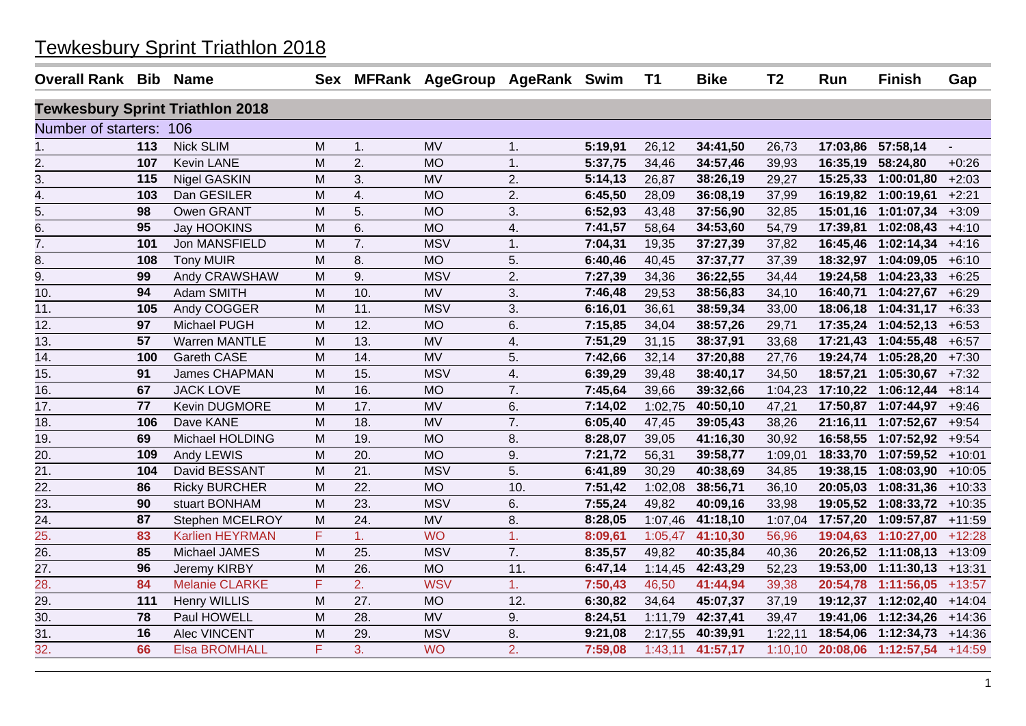| Overall Rank Bib Name   |     |                                         |   |                   | Sex MFRank AgeGroup AgeRank Swim |                  |         | T1      | <b>Bike</b> | T <sub>2</sub> | Run      | <b>Finish</b>               | Gap      |
|-------------------------|-----|-----------------------------------------|---|-------------------|----------------------------------|------------------|---------|---------|-------------|----------------|----------|-----------------------------|----------|
|                         |     | <b>Tewkesbury Sprint Triathlon 2018</b> |   |                   |                                  |                  |         |         |             |                |          |                             |          |
| Number of starters: 106 |     |                                         |   |                   |                                  |                  |         |         |             |                |          |                             |          |
| 1.                      | 113 | <b>Nick SLIM</b>                        | M | 1.                | <b>MV</b>                        | 1.               | 5:19,91 | 26,12   | 34:41,50    | 26,73          |          | 17:03,86 57:58,14           |          |
| <u>2.</u>               | 107 | <b>Kevin LANE</b>                       | M | 2.                | <b>MO</b>                        | 1.               | 5:37,75 | 34,46   | 34:57,46    | 39,93          |          | 16:35,19 58:24,80           | $+0:26$  |
| 3.                      | 115 | <b>Nigel GASKIN</b>                     | M | 3.                | <b>MV</b>                        | 2.               | 5:14,13 | 26,87   | 38:26,19    | 29,27          |          | 15:25,33 1:00:01,80         | $+2:03$  |
| 4.                      | 103 | Dan GESILER                             | M | 4.                | <b>MO</b>                        | 2.               | 6:45,50 | 28,09   | 36:08,19    | 37,99          |          | 16:19,82 1:00:19,61         | $+2:21$  |
| 5.                      | 98  | Owen GRANT                              | M | 5.                | <b>MO</b>                        | 3.               | 6:52,93 | 43,48   | 37:56,90    | 32,85          | 15:01,16 | 1:01:07,34                  | $+3:09$  |
| 6.                      | 95  | Jay HOOKINS                             | M | 6.                | <b>MO</b>                        | 4.               | 7:41,57 | 58,64   | 34:53,60    | 54,79          | 17:39,81 | 1:02:08,43                  | $+4:10$  |
| 7.                      | 101 | Jon MANSFIELD                           | M | 7.                | <b>MSV</b>                       | 1.               | 7:04,31 | 19,35   | 37:27,39    | 37,82          |          | 16:45,46 1:02:14,34         | $+4:16$  |
| 8.                      | 108 | <b>Tony MUIR</b>                        | M | 8.                | <b>MO</b>                        | 5.               | 6:40,46 | 40,45   | 37:37,77    | 37,39          |          | 18:32,97 1:04:09,05 +6:10   |          |
| 9.                      | 99  | Andy CRAWSHAW                           | M | 9.                | <b>MSV</b>                       | 2.               | 7:27,39 | 34,36   | 36:22,55    | 34,44          |          | 19:24,58 1:04:23,33         | $+6:25$  |
| 10.                     | 94  | Adam SMITH                              | M | 10.               | <b>MV</b>                        | 3.               | 7:46,48 | 29,53   | 38:56,83    | 34,10          |          | 16:40,71 1:04:27,67         | $+6:29$  |
| 11.                     | 105 | Andy COGGER                             | M | 11.               | <b>MSV</b>                       | 3.               | 6:16,01 | 36,61   | 38:59,34    | 33,00          |          | 18:06,18 1:04:31,17         | $+6:33$  |
| 12.                     | 97  | Michael PUGH                            | M | 12.               | <b>MO</b>                        | 6.               | 7:15,85 | 34,04   | 38:57,26    | 29,71          |          | $17:35,24$ 1:04:52,13 +6:53 |          |
| $\overline{13}$ .       | 57  | <b>Warren MANTLE</b>                    | M | $\overline{13}$ . | $\overline{MV}$                  | 4.               | 7:51,29 | 31,15   | 38:37,91    | 33,68          |          | 17:21,43 1:04:55,48         | $+6:57$  |
| 14.                     | 100 | Gareth CASE                             | M | 14.               | <b>MV</b>                        | 5.               | 7:42,66 | 32,14   | 37:20,88    | 27,76          |          | 19:24,74 1:05:28,20         | $+7:30$  |
| 15.                     | 91  | James CHAPMAN                           | M | 15.               | <b>MSV</b>                       | 4.               | 6:39,29 | 39,48   | 38:40,17    | 34,50          | 18:57,21 | 1:05:30,67                  | $+7:32$  |
| 16.                     | 67  | <b>JACK LOVE</b>                        | M | 16.               | <b>MO</b>                        | 7.               | 7:45,64 | 39,66   | 39:32,66    | 1:04,23        |          | 17:10,22  1:06:12,44        | $+8:14$  |
| 17.                     | 77  | Kevin DUGMORE                           | M | 17.               | <b>MV</b>                        | 6.               | 7:14,02 | 1:02,75 | 40:50,10    | 47,21          |          | 17:50,87  1:07:44,97        | $+9:46$  |
| 18.                     | 106 | Dave KANE                               | M | 18.               | <b>MV</b>                        | 7.               | 6:05,40 | 47,45   | 39:05,43    | 38,26          |          | 21:16,11 1:07:52,67         | $+9:54$  |
| 19.                     | 69  | Michael HOLDING                         | M | 19.               | <b>MO</b>                        | 8.               | 8:28,07 | 39,05   | 41:16,30    | 30,92          |          | 16:58,55 1:07:52,92 +9:54   |          |
| 20.                     | 109 | Andy LEWIS                              | M | 20.               | <b>MO</b>                        | 9.               | 7:21,72 | 56,31   | 39:58,77    | 1:09,01        |          | 18:33,70 1:07:59,52         | $+10:01$ |
| 21.                     | 104 | David BESSANT                           | M | 21.               | <b>MSV</b>                       | 5.               | 6:41,89 | 30,29   | 40:38,69    | 34,85          |          | 19:38,15 1:08:03,90         | $+10:05$ |
| 22.                     | 86  | <b>Ricky BURCHER</b>                    | M | 22.               | <b>MO</b>                        | 10.              | 7:51,42 | 1:02,08 | 38:56,71    | 36,10          |          | 20:05,03 1:08:31,36 +10:33  |          |
| 23.                     | 90  | stuart BONHAM                           | M | 23.               | <b>MSV</b>                       | 6.               | 7:55,24 | 49,82   | 40:09,16    | 33,98          |          | 19:05,52 1:08:33,72         | $+10:35$ |
| 24.                     | 87  | Stephen MCELROY                         | M | 24.               | <b>MV</b>                        | 8.               | 8:28,05 | 1:07,46 | 41:18,10    | 1:07,04        | 17:57,20 | 1:09:57,87                  | $+11:59$ |
| 25.                     | 83  | <b>Karlien HEYRMAN</b>                  | F | 1.                | <b>WO</b>                        | 1.               | 8:09,61 | 1:05,47 | 41:10,30    | 56,96          |          | 19:04,63 1:10:27,00         | $+12:28$ |
| 26.                     | 85  | Michael JAMES                           | M | 25.               | <b>MSV</b>                       | 7.               | 8:35,57 | 49,82   | 40:35,84    | 40,36          |          | 20:26,52 1:11:08,13 +13:09  |          |
| 27.                     | 96  | Jeremy KIRBY                            | M | 26.               | <b>MO</b>                        | 11.              | 6:47,14 | 1:14,45 | 42:43,29    | 52,23          |          | 19:53,00 1:11:30,13 +13:31  |          |
| 28.                     | 84  | <b>Melanie CLARKE</b>                   | F | 2.                | <b>WSV</b>                       | 1.               | 7:50,43 | 46,50   | 41:44,94    | 39,38          |          | 20:54,78 1:11:56,05         | $+13:57$ |
| 29.                     | 111 | <b>Henry WILLIS</b>                     | M | 27.               | <b>MO</b>                        | 12.              | 6:30,82 | 34,64   | 45:07,37    | 37,19          |          | 19:12,37 1:12:02,40 +14:04  |          |
| 30.                     | 78  | Paul HOWELL                             | M | 28.               | <b>MV</b>                        | 9.               | 8:24,51 | 1:11,79 | 42:37,41    | 39,47          |          | 19:41,06 1:12:34,26 +14:36  |          |
| 31.                     | 16  | Alec VINCENT                            | M | 29.               | <b>MSV</b>                       | 8.               | 9:21,08 | 2:17,55 | 40:39,91    | 1:22,11        |          | 18:54,06 1:12:34,73 +14:36  |          |
| 32.                     | 66  | <b>Elsa BROMHALL</b>                    | F | 3 <sub>1</sub>    | <b>WO</b>                        | $\overline{2}$ . | 7:59,08 | 1:43,11 | 41:57,17    | 1:10,10        |          | 20:08,06 1:12:57,54 +14:59  |          |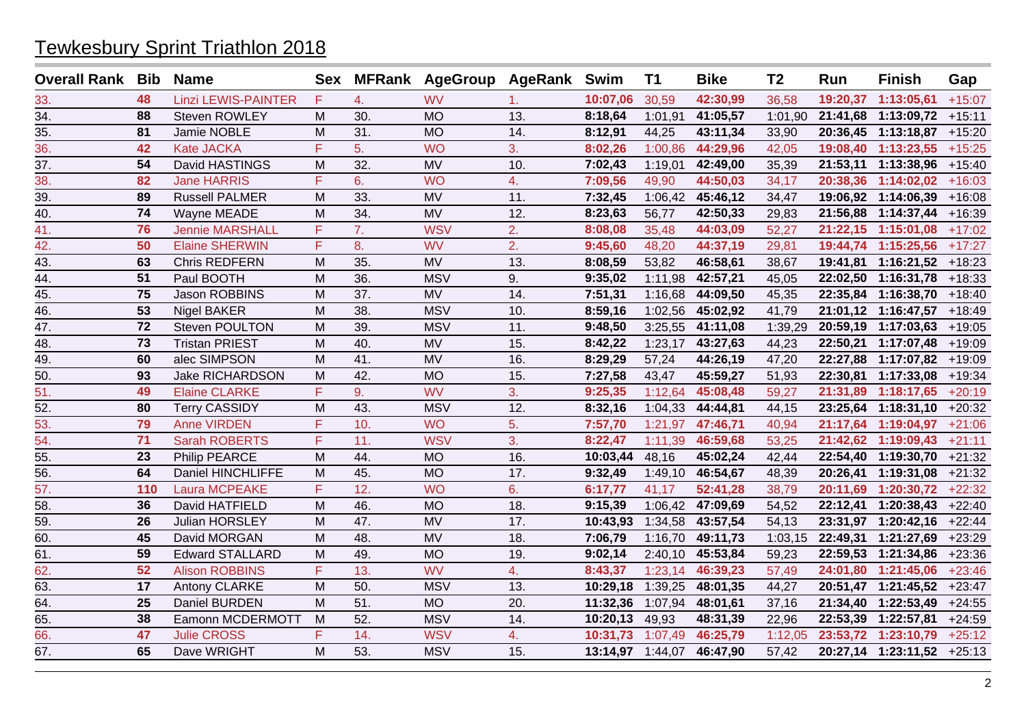| <b>Overall Rank Bib</b> |     | <b>Name</b>                |   |     | Sex MFRank AgeGroup AgeRank Swim |     |                  | <b>T1</b> | <b>Bike</b> | T <sub>2</sub> | Run      | <b>Finish</b>              | Gap      |
|-------------------------|-----|----------------------------|---|-----|----------------------------------|-----|------------------|-----------|-------------|----------------|----------|----------------------------|----------|
| 33.                     | 48  | <b>Linzi LEWIS-PAINTER</b> | F | 4.  | <b>WV</b>                        | 1.  | 10:07,06         | 30,59     | 42:30,99    | 36,58          | 19:20,37 | 1:13:05,61                 | $+15:07$ |
| 34.                     | 88  | <b>Steven ROWLEY</b>       | M | 30. | <b>MO</b>                        | 13. | 8:18,64          | 1:01,91   | 41:05,57    | 1:01,90        | 21:41,68 | 1:13:09,72                 | $+15:11$ |
| $\overline{35}$ .       | 81  | Jamie NOBLE                | M | 31. | <b>MO</b>                        | 14. | 8:12,91          | 44,25     | 43:11,34    | 33,90          |          | 20:36,45 1:13:18,87        | $+15:20$ |
| 36.                     | 42  | <b>Kate JACKA</b>          | F | 5.  | <b>WO</b>                        | 3.  | 8:02,26          | 1:00,86   | 44:29,96    | 42,05          | 19:08,40 | 1:13:23,55                 | $+15:25$ |
| $\overline{37}$ .       | 54  | David HASTINGS             | M | 32. | <b>MV</b>                        | 10. | 7:02,43          | 1:19,01   | 42:49,00    | 35,39          | 21:53,11 | 1:13:38,96                 | $+15:40$ |
| 38.                     | 82  | <b>Jane HARRIS</b>         | F | 6.  | <b>WO</b>                        | 4.  | 7:09,56          | 49,90     | 44:50,03    | 34,17          | 20:38,36 | 1:14:02,02                 | $+16:03$ |
| 39.                     | 89  | <b>Russell PALMER</b>      | M | 33. | <b>MV</b>                        | 11. | 7:32,45          | 1:06,42   | 45:46,12    | 34,47          |          | 19:06,92 1:14:06,39        | $+16:08$ |
| 40.                     | 74  | <b>Wayne MEADE</b>         | M | 34. | <b>MV</b>                        | 12. | 8:23,63          | 56,77     | 42:50,33    | 29,83          |          | 21:56,88 1:14:37,44        | $+16:39$ |
| 41.                     | 76  | <b>Jennie MARSHALL</b>     | F | 7.  | <b>WSV</b>                       | 2.  | 8:08,08          | 35,48     | 44:03,09    | 52,27          |          | 21:22,15 1:15:01,08        | $+17:02$ |
| 42.                     | 50  | <b>Elaine SHERWIN</b>      | F | 8.  | <b>WV</b>                        | 2.  | 9:45,60          | 48,20     | 44:37,19    | 29,81          |          | 19:44,74 1:15:25,56        | $+17:27$ |
| 43.                     | 63  | Chris REDFERN              | M | 35. | <b>MV</b>                        | 13. | 8:08,59          | 53,82     | 46:58,61    | 38,67          | 19:41,81 | 1:16:21,52                 | $+18:23$ |
| 44.                     | 51  | Paul BOOTH                 | M | 36. | <b>MSV</b>                       | 9.  | 9:35,02          | 1:11,98   | 42:57,21    | 45,05          | 22:02,50 | 1:16:31,78                 | $+18:33$ |
| 45.                     | 75  | Jason ROBBINS              | M | 37. | <b>MV</b>                        | 14. | 7:51,31          | 1:16,68   | 44:09,50    | 45,35          |          | 22:35,84 1:16:38,70        | $+18:40$ |
| 46.                     | 53  | <b>Nigel BAKER</b>         | M | 38. | <b>MSV</b>                       | 10. | 8:59,16          | 1:02,56   | 45:02,92    | 41,79          | 21:01,12 | 1:16:47,57                 | $+18:49$ |
| 47.                     | 72  | <b>Steven POULTON</b>      | M | 39. | <b>MSV</b>                       | 11. | 9:48,50          | 3:25,55   | 41:11,08    | 1:39,29        | 20:59,19 | 1:17:03,63                 | $+19:05$ |
| 48.                     | 73  | <b>Tristan PRIEST</b>      | M | 40. | <b>MV</b>                        | 15. | 8:42,22          | 1:23,17   | 43:27,63    | 44,23          | 22:50,21 | 1:17:07,48                 | $+19:09$ |
| 49.                     | 60  | alec SIMPSON               | M | 41. | <b>MV</b>                        | 16. | 8:29,29          | 57,24     | 44:26,19    | 47,20          | 22:27,88 | 1:17:07,82 +19:09          |          |
| 50.                     | 93  | <b>Jake RICHARDSON</b>     | M | 42. | <b>MO</b>                        | 15. | 7:27,58          | 43,47     | 45:59,27    | 51,93          | 22:30,81 | 1:17:33,08                 | $+19:34$ |
| 51.                     | 49  | <b>Elaine CLARKE</b>       | F | 9.  | <b>WV</b>                        | 3.  | 9:25,35          | 1:12,64   | 45:08,48    | 59,27          |          | 21:31,89 1:18:17,65        | $+20:19$ |
| 52.                     | 80  | <b>Terry CASSIDY</b>       | M | 43. | <b>MSV</b>                       | 12. | 8:32,16          | 1:04,33   | 44:44,81    | 44,15          |          | 23:25,64 1:18:31,10        | $+20:32$ |
| 53.                     | 79  | <b>Anne VIRDEN</b>         | F | 10. | <b>WO</b>                        | 5.  | 7:57,70          | 1:21,97   | 47:46,71    | 40,94          |          | 21:17,64 1:19:04,97        | $+21:06$ |
| 54.                     | 71  | <b>Sarah ROBERTS</b>       | F | 11. | <b>WSV</b>                       | 3.  | 8:22,47          | 1:11,39   | 46:59,68    | 53,25          |          | 21:42,62 1:19:09,43        | $+21:11$ |
| $\overline{55}$ .       | 23  | <b>Philip PEARCE</b>       | M | 44. | <b>MO</b>                        | 16. | 10:03,44         | 48,16     | 45:02,24    | 42,44          |          | 22:54,40 1:19:30,70        | $+21:32$ |
| 56.                     | 64  | Daniel HINCHLIFFE          | M | 45. | <b>MO</b>                        | 17. | 9:32,49          | 1:49,10   | 46:54,67    | 48,39          |          | 20:26,41 1:19:31,08        | $+21:32$ |
| 57.                     | 110 | <b>Laura MCPEAKE</b>       | F | 12. | <b>WO</b>                        | 6.  | 6:17,77          | 41,17     | 52:41,28    | 38,79          | 20:11,69 | 1:20:30,72                 | $+22:32$ |
| 58.                     | 36  | David HATFIELD             | M | 46. | <b>MO</b>                        | 18. | 9:15,39          | 1:06,42   | 47:09,69    | 54,52          | 22:12,41 | 1:20:38,43                 | $+22:40$ |
| 59.                     | 26  | Julian HORSLEY             | M | 47. | <b>MV</b>                        | 17. | 10:43,93         | 1:34,58   | 43:57,54    | 54,13          |          | 23:31,97 1:20:42,16        | $+22:44$ |
| 60.                     | 45  | David MORGAN               | M | 48. | <b>MV</b>                        | 18. | 7:06,79          | 1:16,70   | 49:11,73    | 1:03,15        | 22:49,31 | 1:21:27,69                 | $+23:29$ |
| 61.                     | 59  | <b>Edward STALLARD</b>     | M | 49. | <b>MO</b>                        | 19. | 9:02,14          | 2:40,10   | 45:53,84    | 59,23          | 22:59,53 | 1:21:34,86                 | $+23:36$ |
| 62.                     | 52  | <b>Alison ROBBINS</b>      | F | 13. | <b>WV</b>                        | 4.  | 8:43,37          | 1:23,14   | 46:39,23    | 57,49          |          | 24:01,80 1:21:45,06        | $+23:46$ |
| 63.                     | 17  | Antony CLARKE              | M | 50. | <b>MSV</b>                       | 13. | 10:29,18         | 1:39,25   | 48:01,35    | 44,27          |          | 20:51,47 1:21:45,52        | $+23:47$ |
| 64.                     | 25  | Daniel BURDEN              | м | 51. | <b>MO</b>                        | 20. | 11:32,36         | 1:07,94   | 48:01,61    | 37,16          |          | 21:34,40 1:22:53,49        | $+24:55$ |
| 65.                     | 38  | Eamonn MCDERMOTT           | M | 52. | <b>MSV</b>                       | 14. | 10:20,13         | 49,93     | 48:31,39    | 22,96          | 22:53,39 | 1:22:57,81                 | $+24:59$ |
| 66.                     | 47  | <b>Julie CROSS</b>         | F | 14. | <b>WSV</b>                       | 4.  | 10:31,73         | 1:07,49   | 46:25,79    | 1:12,05        |          | 23:53,72 1:23:10,79        | $+25:12$ |
| 67.                     | 65  | Dave WRIGHT                | M | 53. | <b>MSV</b>                       | 15. | 13:14,97 1:44,07 |           | 46:47,90    | 57,42          |          | 20:27,14 1:23:11,52 +25:13 |          |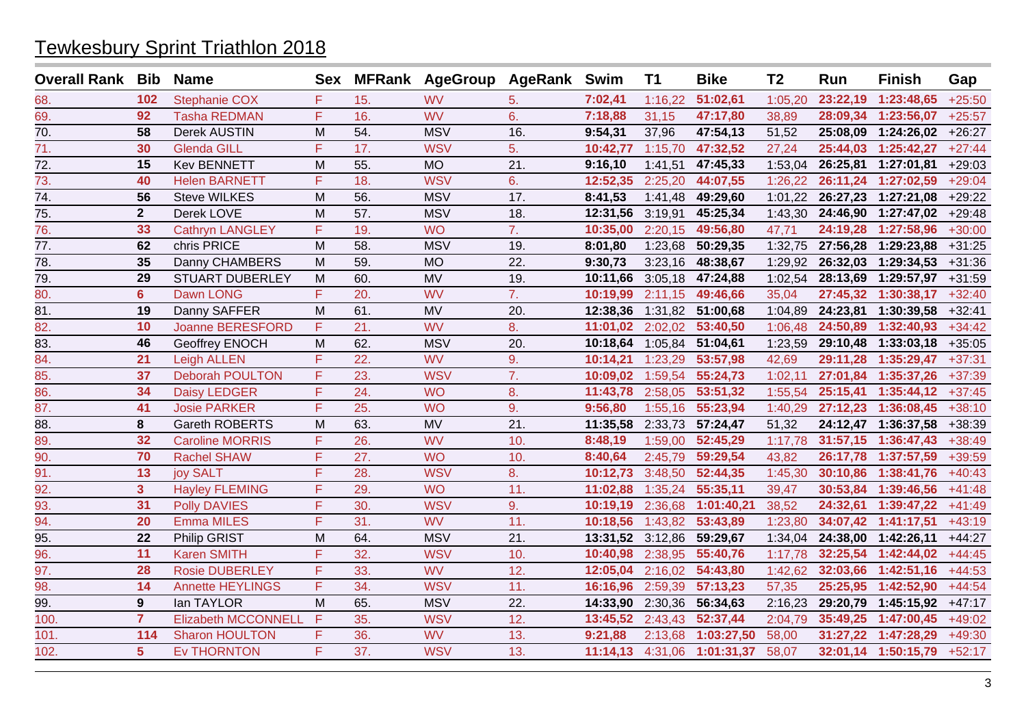| <b>Overall Rank Bib</b> |                | <b>Name</b>                | Sex |     | MFRank AgeGroup AgeRank Swim |     |          | <b>T1</b> | <b>Bike</b> | T <sub>2</sub> | Run      | <b>Finish</b>       | Gap      |
|-------------------------|----------------|----------------------------|-----|-----|------------------------------|-----|----------|-----------|-------------|----------------|----------|---------------------|----------|
| 68.                     | 102            | <b>Stephanie COX</b>       | F   | 15. | <b>WV</b>                    | 5.  | 7:02,41  | 1:16,22   | 51:02,61    | 1:05,20        | 23:22,19 | 1:23:48,65          | $+25:50$ |
| 69.                     | 92             | <b>Tasha REDMAN</b>        | F   | 16. | <b>WV</b>                    | 6.  | 7:18,88  | 31,15     | 47:17,80    | 38,89          | 28:09,34 | 1:23:56,07          | $+25:57$ |
| $\overline{70}$ .       | 58             | Derek AUSTIN               | M   | 54. | <b>MSV</b>                   | 16. | 9:54,31  | 37,96     | 47:54,13    | 51,52          | 25:08,09 | 1:24:26,02          | $+26:27$ |
| 71.                     | 30             | <b>Glenda GILL</b>         | F   | 17. | <b>WSV</b>                   | 5.  | 10:42,77 | 1:15,70   | 47:32,52    | 27,24          | 25:44,03 | 1:25:42,27          | $+27:44$ |
| 72.                     | 15             | <b>Kev BENNETT</b>         | M   | 55. | <b>MO</b>                    | 21. | 9:16,10  | 1:41,51   | 47:45,33    | 1:53,04        | 26:25,81 | 1:27:01,81          | $+29:03$ |
| 73.                     | 40             | <b>Helen BARNETT</b>       | F   | 18. | <b>WSV</b>                   | 6.  | 12:52,35 | 2:25,20   | 44:07,55    | 1:26,22        | 26:11,24 | 1:27:02,59          | $+29:04$ |
| 74.                     | 56             | <b>Steve WILKES</b>        | M   | 56. | <b>MSV</b>                   | 17. | 8:41,53  | 1:41,48   | 49:29,60    | 1:01,22        | 26:27,23 | 1:27:21,08          | $+29:22$ |
| 75.                     | $\mathbf{2}$   | Derek LOVE                 | M   | 57. | <b>MSV</b>                   | 18. | 12:31,56 | 3:19,91   | 45:25,34    | 1:43,30        |          | 24:46,90 1:27:47,02 | $+29:48$ |
| 76.                     | 33             | <b>Cathryn LANGLEY</b>     | F   | 19. | <b>WO</b>                    | 7.  | 10:35,00 | 2:20,15   | 49:56,80    | 47,71          | 24:19,28 | 1:27:58,96          | $+30:00$ |
| 77.                     | 62             | chris PRICE                | M   | 58. | <b>MSV</b>                   | 19. | 8:01,80  | 1:23,68   | 50:29,35    | 1:32,75        | 27:56,28 | 1:29:23,88          | $+31:25$ |
| 78.                     | 35             | Danny CHAMBERS             | M   | 59. | <b>MO</b>                    | 22. | 9:30,73  | 3:23,16   | 48:38,67    | 1:29,92        | 26:32,03 | 1:29:34,53          | $+31:36$ |
| 79.                     | 29             | <b>STUART DUBERLEY</b>     | M   | 60. | <b>MV</b>                    | 19. | 10:11,66 | 3:05,18   | 47:24,88    | 1:02.54        | 28:13,69 | 1:29:57,97          | $+31:59$ |
| 80.                     | $6\phantom{a}$ | Dawn LONG                  | F   | 20. | <b>WV</b>                    | 7.  | 10:19,99 | 2:11,15   | 49:46,66    | 35,04          | 27:45,32 | 1:30:38,17          | $+32:40$ |
| 81.                     | 19             | Danny SAFFER               | M   | 61. | <b>MV</b>                    | 20. | 12:38,36 | 1:31,82   | 51:00,68    | 1:04,89        | 24:23,81 | 1:30:39,58          | $+32:41$ |
| 82.                     | 10             | <b>Joanne BERESFORD</b>    | F   | 21. | <b>WV</b>                    | 8.  | 11:01.02 | 2:02,02   | 53:40,50    | 1:06,48        | 24:50.89 | 1:32:40.93          | $+34:42$ |
| 83.                     | 46             | Geoffrey ENOCH             | M   | 62. | <b>MSV</b>                   | 20. | 10:18,64 | 1:05,84   | 51:04,61    | 1:23,59        | 29:10,48 | 1:33:03,18          | $+35:05$ |
| 84.                     | 21             | <b>Leigh ALLEN</b>         | F   | 22. | <b>WV</b>                    | 9.  | 10:14,21 | 1:23,29   | 53:57,98    | 42,69          | 29:11,28 | 1:35:29,47          | $+37:31$ |
| 85.                     | 37             | <b>Deborah POULTON</b>     | F   | 23. | <b>WSV</b>                   | 7.  | 10:09,02 | 1:59,54   | 55:24,73    | 1:02,11        | 27:01,84 | 1:35:37,26          | $+37:39$ |
| 86.                     | 34             | <b>Daisy LEDGER</b>        | F   | 24. | <b>WO</b>                    | 8.  | 11:43,78 | 2:58,05   | 53:51,32    | 1:55,54        | 25:15,41 | 1:35:44,12          | $+37:45$ |
| 87.                     | 41             | <b>Josie PARKER</b>        | F   | 25. | <b>WO</b>                    | 9.  | 9:56,80  | 1:55,16   | 55:23,94    | 1:40,29        |          | 27:12,23 1:36:08,45 | $+38:10$ |
| 88.                     | 8              | Gareth ROBERTS             | M   | 63. | <b>MV</b>                    | 21. | 11:35,58 | 2:33,73   | 57:24,47    | 51,32          |          | 24:12,47 1:36:37,58 | $+38:39$ |
| 89.                     | 32             | <b>Caroline MORRIS</b>     | F   | 26. | <b>WV</b>                    | 10. | 8:48,19  | 1:59,00   | 52:45,29    | 1:17,78        |          | 31:57,15 1:36:47,43 | $+38:49$ |
| 90.                     | 70             | <b>Rachel SHAW</b>         | F   | 27. | <b>WO</b>                    | 10. | 8:40,64  | 2:45,79   | 59:29,54    | 43,82          | 26:17,78 | 1:37:57,59          | $+39:59$ |
| 91.                     | 13             | joy SALT                   | F   | 28. | <b>WSV</b>                   | 8.  | 10:12,73 | 3:48,50   | 52:44,35    | 1:45,30        | 30:10,86 | 1:38:41,76          | $+40:43$ |
| 92.                     | 3 <sup>1</sup> | <b>Hayley FLEMING</b>      | F   | 29. | <b>WO</b>                    | 11. | 11:02,88 | 1:35,24   | 55:35,11    | 39,47          |          | 30:53,84 1:39:46,56 | $+41:48$ |
| 93.                     | 31             | <b>Polly DAVIES</b>        | F   | 30. | <b>WSV</b>                   | 9.  | 10:19,19 | 2:36,68   | 1:01:40,21  | 38,52          | 24:32,61 | 1:39:47,22          | $+41:49$ |
| 94.                     | 20             | <b>Emma MILES</b>          | F   | 31. | <b>WV</b>                    | 11. | 10:18,56 | 1:43,82   | 53:43,89    | 1:23,80        |          | 34:07,42 1:41:17,51 | $+43:19$ |
| 95.                     | 22             | Philip GRIST               | M   | 64. | <b>MSV</b>                   | 21. | 13:31,52 | 3:12,86   | 59:29,67    | 1:34,04        | 24:38,00 | 1:42:26,11          | $+44:27$ |
| 96.                     | 11             | <b>Karen SMITH</b>         | F   | 32. | <b>WSV</b>                   | 10. | 10:40,98 | 2:38,95   | 55:40,76    | 1:17,78        | 32:25,54 | 1:42:44,02          | $+44:45$ |
| 97.                     | 28             | <b>Rosie DUBERLEY</b>      | F   | 33. | <b>WV</b>                    | 12. | 12:05,04 | 2:16,02   | 54:43,80    | 1:42,62        | 32:03,66 | 1:42:51,16          | $+44:53$ |
| 98.                     | 14             | <b>Annette HEYLINGS</b>    | F.  | 34. | <b>WSV</b>                   | 11. | 16:16,96 | 2:59,39   | 57:13,23    | 57,35          | 25:25,95 | 1:42:52,90          | $+44:54$ |
| 99.                     | 9              | lan TAYLOR                 | M   | 65. | <b>MSV</b>                   | 22. | 14:33,90 | 2:30,36   | 56:34,63    | 2:16,23        | 29:20,79 | 1:45:15,92          | $+47:17$ |
| 100.                    | $\overline{7}$ | <b>Elizabeth MCCONNELL</b> | F   | 35. | <b>WSV</b>                   | 12. | 13:45,52 | 2:43,43   | 52:37,44    | 2:04,79        | 35:49,25 | 1:47:00,45          | $+49:02$ |
| 101.                    | 114            | <b>Sharon HOULTON</b>      | F   | 36. | <b>WV</b>                    | 13. | 9:21,88  | 2:13,68   | 1:03:27,50  | 58,00          |          | 31:27,22 1:47:28,29 | $+49:30$ |
| 102.                    | 5              | <b>Ev THORNTON</b>         | F   | 37. | <b>WSV</b>                   | 13. | 11:14,13 | 4:31,06   | 1:01:31,37  | 58,07          |          | 32:01,14 1:50:15,79 | $+52:17$ |